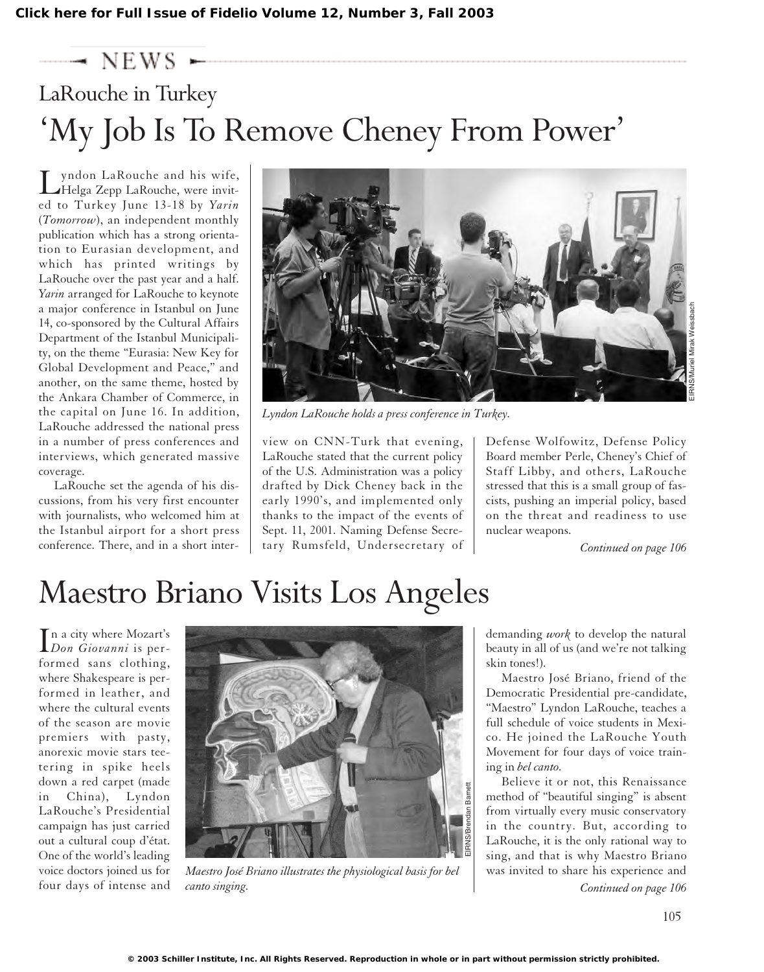## $\rightarrow$  NEWS  $\sim$ LaRouche in Turkey 'My Job Is To Remove Cheney From Power'

yndon LaRouche and his wife, Helga Zepp LaRouche, were invited to Turkey June 13-18 by *Yarin* (*Tomorrow*), an independent monthly publication which has a strong orientation to Eurasian development, and which has printed writings by LaRouche over the past year and a half. *Yarin* arranged for LaRouche to keynote a major conference in Istanbul on June 14, co-sponsored by the Cultural Affairs Department of the Istanbul Municipality, on the theme "Eurasia: New Key for Global Development and Peace," and another, on the same theme, hosted by the Ankara Chamber of Commerce, in the capital on June 16. In addition, LaRouche addressed the national press in a number of press conferences and interviews, which generated massive coverage.

LaRouche set the agenda of his discussions, from his very first encounter with journalists, who welcomed him at the Istanbul airport for a short press conference. There, and in a short inter-



*Lyndon LaRouche holds a press conference in Turkey.*

view on CNN-Turk that evening, LaRouche stated that the current policy of the U.S. Administration was a policy drafted by Dick Cheney back in the early 1990's, and implemented only thanks to the impact of the events of Sept. 11, 2001. Naming Defense Secretary Rumsfeld, Undersecretary of

Defense Wolfowitz, Defense Policy Board member Perle, Cheney's Chief of Staff Libby, and others, LaRouche stressed that this is a small group of fascists, pushing an imperial policy, based on the threat and readiness to use nuclear weapons.

*Continued on page 106*

# Maestro Briano Visits Los Angeles

In a city where Mozart's<br>*Don Giovanni* is pern a city where Mozart's formed sans clothing, where Shakespeare is performed in leather, and where the cultural events of the season are movie premiers with pasty, anorexic movie stars teetering in spike heels down a red carpet (made in China), Lyndon LaRouche's Presidential campaign has just carried out a cultural coup d'état. One of the world's leading voice doctors joined us for four days of intense and



*Maestro José Briano illustrates the physiological basis for bel canto singing.*

demanding *work* to develop the natural beauty in all of us (and we're not talking skin tones!).

Maestro José Briano, friend of the Democratic Presidential pre-candidate, "Maestro" Lyndon LaRouche, teaches a full schedule of voice students in Mexico. He joined the LaRouche Youth Movement for four days of voice training in *bel canto.*

Believe it or not, this Renaissance method of "beautiful singing" is absent from virtually every music conservatory in the country. But, according to LaRouche, it is the only rational way to sing, and that is why Maestro Briano was invited to share his experience and *Continued on page 106*